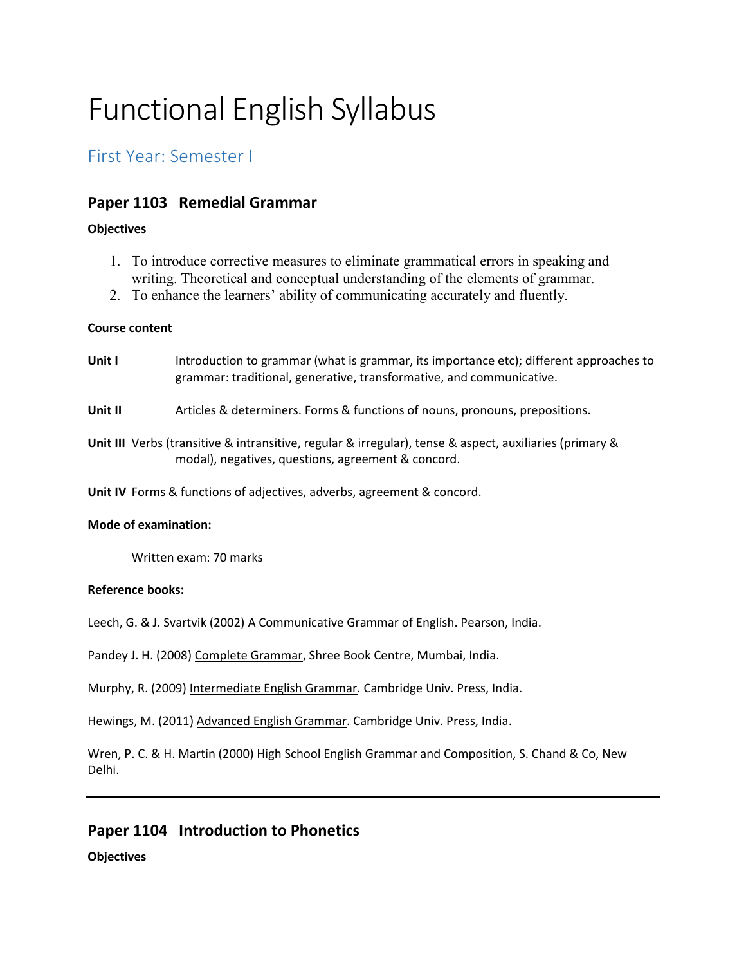# Functional English Syllabus

# First Year: Semester I

## **Paper 1103 Remedial Grammar**

### **Objectives**

- 1. To introduce corrective measures to eliminate grammatical errors in speaking and writing. Theoretical and conceptual understanding of the elements of grammar.
- 2. To enhance the learners' ability of communicating accurately and fluently.

### **Course content**

| Unit I               | Introduction to grammar (what is grammar, its importance etc); different approaches to<br>grammar: traditional, generative, transformative, and communicative. |
|----------------------|----------------------------------------------------------------------------------------------------------------------------------------------------------------|
| Unit II              | Articles & determiners. Forms & functions of nouns, pronouns, prepositions.                                                                                    |
|                      | Unit III Verbs (transitive & intransitive, regular & irregular), tense & aspect, auxiliaries (primary &<br>modal), negatives, questions, agreement & concord.  |
|                      | <b>Unit IV</b> Forms & functions of adjectives, adverbs, agreement & concord.                                                                                  |
| Mada af anamination. |                                                                                                                                                                |

### **Mode of examination:**

Written exam: 70 marks

### **Reference books:**

Leech, G. & J. Svartvik (2002) A Communicative Grammar of English. Pearson, India.

Pandey J. H. (2008) Complete Grammar, Shree Book Centre, Mumbai, India.

Murphy, R. (2009) Intermediate English Grammar*.* Cambridge Univ. Press, India.

Hewings, M. (2011) Advanced English Grammar. Cambridge Univ. Press, India.

Wren, P. C. & H. Martin (2000) High School English Grammar and Composition, S. Chand & Co, New Delhi.

## **Paper 1104 Introduction to Phonetics**

### **Objectives**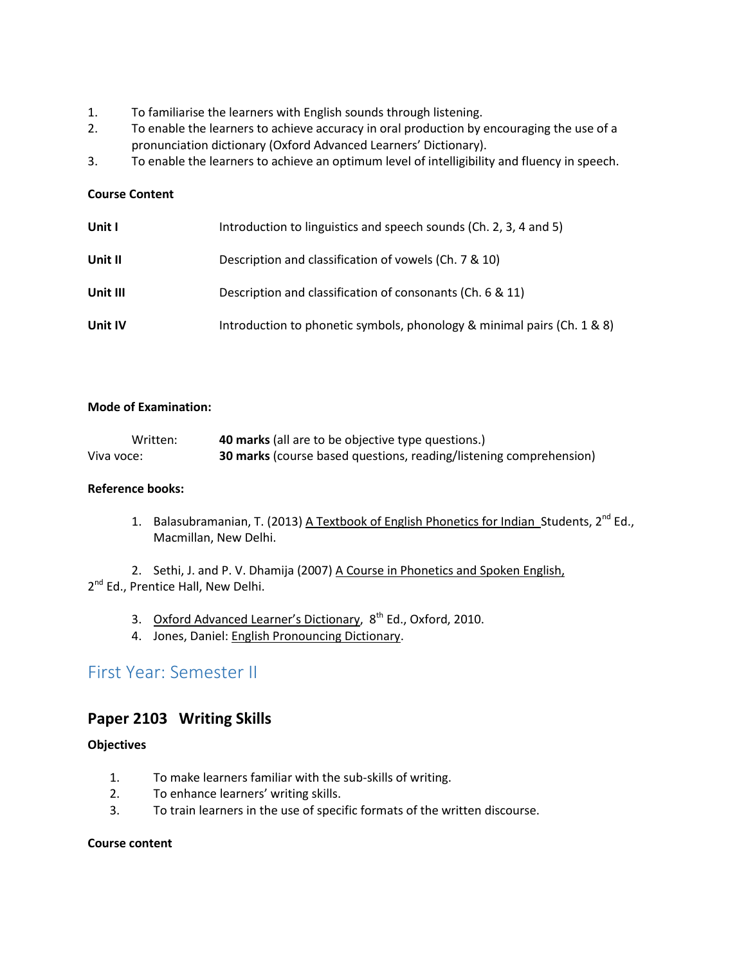- 1. To familiarise the learners with English sounds through listening.
- 2. To enable the learners to achieve accuracy in oral production by encouraging the use of a pronunciation dictionary (Oxford Advanced Learners' Dictionary).
- 3. To enable the learners to achieve an optimum level of intelligibility and fluency in speech.

### **Course Content**

| Unit I   | Introduction to linguistics and speech sounds (Ch. 2, 3, 4 and 5)       |
|----------|-------------------------------------------------------------------------|
| Unit II  | Description and classification of vowels (Ch. 7 & 10)                   |
| Unit III | Description and classification of consonants (Ch. 6 & 11)               |
| Unit IV  | Introduction to phonetic symbols, phonology & minimal pairs (Ch. 1 & 8) |

### **Mode of Examination:**

| Written:   | <b>40 marks</b> (all are to be objective type questions.)                 |
|------------|---------------------------------------------------------------------------|
| Viva voce: | <b>30 marks</b> (course based questions, reading/listening comprehension) |

### **Reference books:**

1. Balasubramanian, T. (2013) A Textbook of English Phonetics for Indian Students, 2<sup>nd</sup> Ed., Macmillan, New Delhi.

2. Sethi, J. and P. V. Dhamija (2007) A Course in Phonetics and Spoken English, 2<sup>nd</sup> Ed., Prentice Hall, New Delhi.

- 3. Oxford Advanced Learner's Dictionary,  $8^{th}$  Ed., Oxford, 2010.
- 4. Jones, Daniel: English Pronouncing Dictionary.

## First Year: Semester II

### **Paper 2103 Writing Skills**

### **Objectives**

- 1. To make learners familiar with the sub-skills of writing.
- 2. To enhance learners' writing skills.
- 3. To train learners in the use of specific formats of the written discourse.

### **Course content**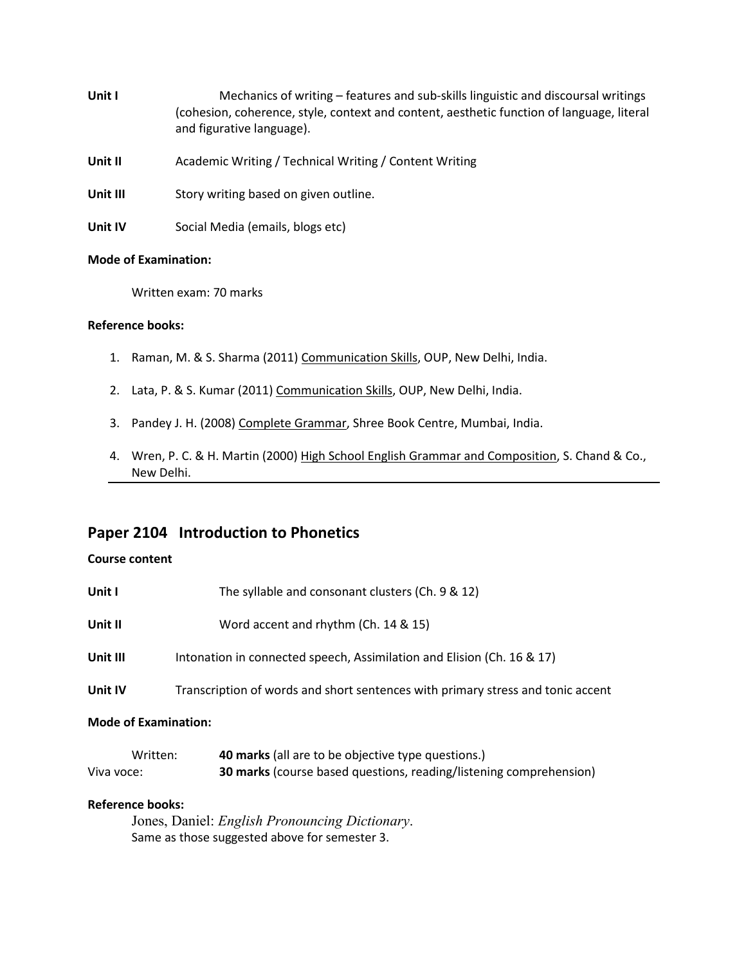- Unit I Mechanics of writing features and sub-skills linguistic and discoursal writings (cohesion, coherence, style, context and content, aesthetic function of language, literal and figurative language).
- **Unit II** Academic Writing / Technical Writing / Content Writing
- Unit III Story writing based on given outline.
- **Unit IV** Social Media (emails, blogs etc)

### **Mode of Examination:**

Written exam: 70 marks

#### **Reference books:**

- 1. Raman, M. & S. Sharma (2011) Communication Skills, OUP, New Delhi, India.
- 2. Lata, P. & S. Kumar (2011) Communication Skills, OUP, New Delhi, India.
- 3. Pandey J. H. (2008) Complete Grammar, Shree Book Centre, Mumbai, India.
- 4. Wren, P. C. & H. Martin (2000) High School English Grammar and Composition, S. Chand & Co., New Delhi.

### **Paper 2104 Introduction to Phonetics**

### **Course content**

| Written:<br>Viva voce:      | <b>40 marks</b> (all are to be objective type questions.)<br><b>30 marks</b> (course based questions, reading/listening comprehension) |
|-----------------------------|----------------------------------------------------------------------------------------------------------------------------------------|
| <b>Mode of Examination:</b> |                                                                                                                                        |
| Unit IV                     | Transcription of words and short sentences with primary stress and tonic accent                                                        |
| Unit III                    | Intonation in connected speech, Assimilation and Elision (Ch. 16 & 17)                                                                 |
| Unit II                     | Word accent and rhythm (Ch. 14 & 15)                                                                                                   |
| Unit I                      | The syllable and consonant clusters (Ch. 9 & 12)                                                                                       |

### **Reference books:**

Jones, Daniel: *English Pronouncing Dictionary*. Same as those suggested above for semester 3.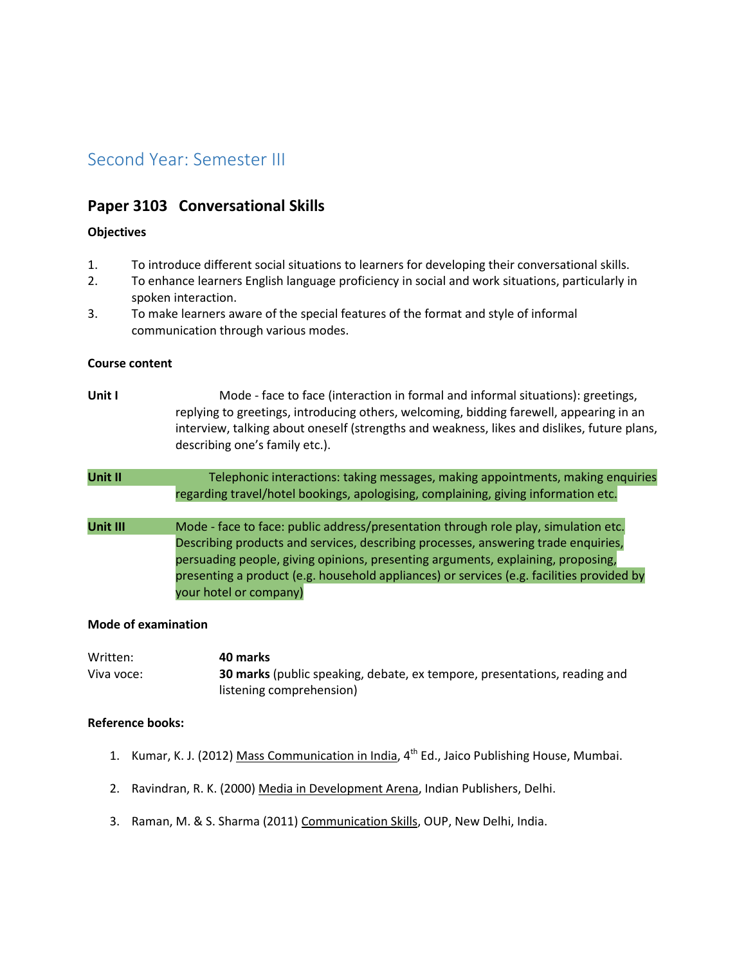# Second Year: Semester III

### **Paper 3103 Conversational Skills**

### **Objectives**

- 1. To introduce different social situations to learners for developing their conversational skills.
- 2. To enhance learners English language proficiency in social and work situations, particularly in spoken interaction.
- 3. To make learners aware of the special features of the format and style of informal communication through various modes.

#### **Course content**

- **Unit I** Mode face to face (interaction in formal and informal situations): greetings, replying to greetings, introducing others, welcoming, bidding farewell, appearing in an interview, talking about oneself (strengths and weakness, likes and dislikes, future plans, describing one's family etc.). Unit II Telephonic interactions: taking messages, making appointments, making enquiries regarding travel/hotel bookings, apologising, complaining, giving information etc.
- Unit III Mode face to face: public address/presentation through role play, simulation etc. Describing products and services, describing processes, answering trade enquiries, persuading people, giving opinions, presenting arguments, explaining, proposing, presenting a product (e.g. household appliances) or services (e.g. facilities provided by your hotel or company)

### **Mode of examination**

| Written:   | 40 marks                                                                         |
|------------|----------------------------------------------------------------------------------|
| Viva voce: | <b>30 marks</b> (public speaking, debate, ex tempore, presentations, reading and |
|            | listening comprehension)                                                         |

### **Reference books:**

- 1. Kumar, K. J. (2012) Mass Communication in India, 4<sup>th</sup> Ed., Jaico Publishing House, Mumbai.
- 2. Ravindran, R. K. (2000) Media in Development Arena, Indian Publishers, Delhi.
- 3. Raman, M. & S. Sharma (2011) Communication Skills, OUP, New Delhi, India.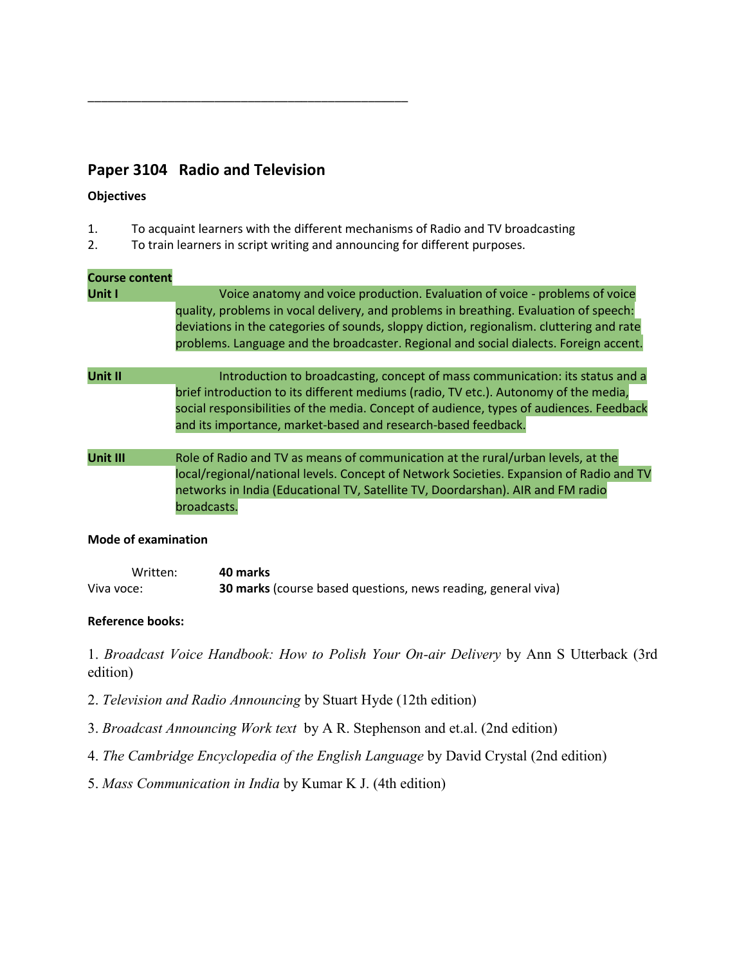# **Paper 3104 Radio and Television**

\_\_\_\_\_\_\_\_\_\_\_\_\_\_\_\_\_\_\_\_\_\_\_\_\_\_\_\_\_\_\_\_\_\_\_\_\_\_\_\_\_\_\_\_\_\_\_\_

### **Objectives**

- 1. To acquaint learners with the different mechanisms of Radio and TV broadcasting
- 2. To train learners in script writing and announcing for different purposes.

### **Course content**

| Unit I   | Voice anatomy and voice production. Evaluation of voice - problems of voice<br>quality, problems in vocal delivery, and problems in breathing. Evaluation of speech:<br>deviations in the categories of sounds, sloppy diction, regionalism. cluttering and rate<br>problems. Language and the broadcaster. Regional and social dialects. Foreign accent. |
|----------|-----------------------------------------------------------------------------------------------------------------------------------------------------------------------------------------------------------------------------------------------------------------------------------------------------------------------------------------------------------|
| Unit II  | Introduction to broadcasting, concept of mass communication: its status and a<br>brief introduction to its different mediums (radio, TV etc.). Autonomy of the media,<br>social responsibilities of the media. Concept of audience, types of audiences. Feedback<br>and its importance, market-based and research-based feedback.                         |
| Unit III | Role of Radio and TV as means of communication at the rural/urban levels, at the<br>local/regional/national levels. Concept of Network Societies. Expansion of Radio and TV<br>networks in India (Educational TV, Satellite TV, Doordarshan). AIR and FM radio<br>broadcasts.                                                                             |

### **Mode of examination**

| Written:   | 40 marks                                                             |
|------------|----------------------------------------------------------------------|
| Viva voce: | <b>30 marks</b> (course based questions, news reading, general viva) |

### **Reference books:**

1. *Broadcast Voice Handbook: How to Polish Your On-air Delivery* by Ann S Utterback (3rd edition)

- 2. *Television and Radio Announcing* by Stuart Hyde (12th edition)
- 3. *Broadcast Announcing Work text* by A R. Stephenson and et.al. (2nd edition)
- 4. *The Cambridge Encyclopedia of the English Language* by David Crystal (2nd edition)
- 5. *Mass Communication in India* by Kumar K J. (4th edition)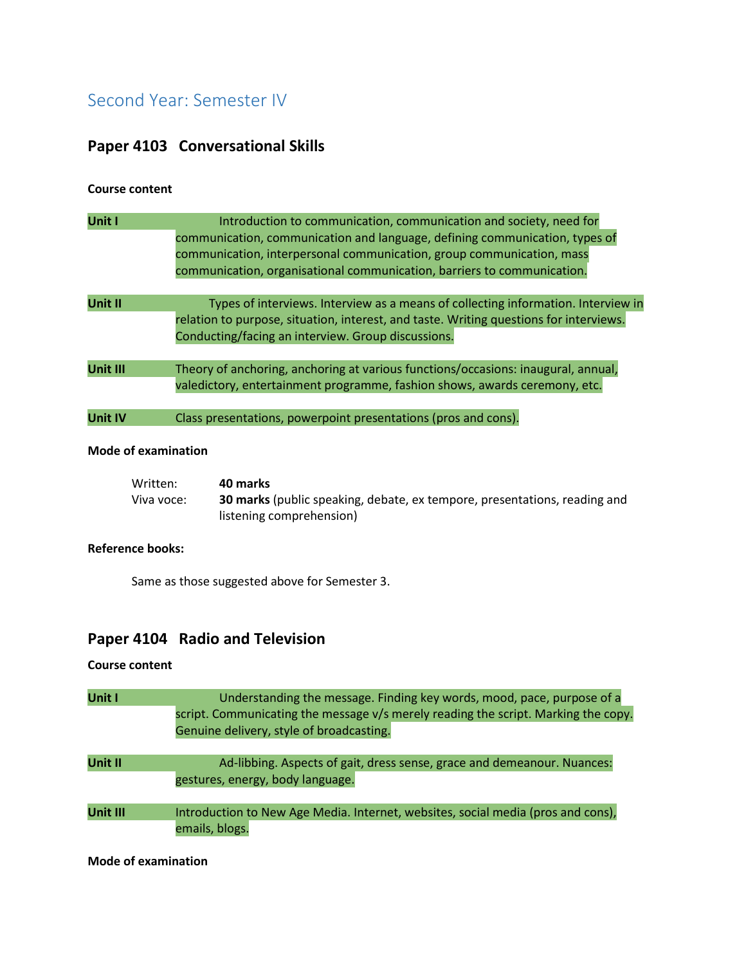# Second Year: Semester IV

# **Paper 4103 Conversational Skills**

### **Course content**

| Unit I          | Introduction to communication, communication and society, need for<br>communication, communication and language, defining communication, types of<br>communication, interpersonal communication, group communication, mass<br>communication, organisational communication, barriers to communication. |
|-----------------|-------------------------------------------------------------------------------------------------------------------------------------------------------------------------------------------------------------------------------------------------------------------------------------------------------|
| <b>Unit II</b>  | Types of interviews. Interview as a means of collecting information. Interview in<br>relation to purpose, situation, interest, and taste. Writing questions for interviews.<br>Conducting/facing an interview. Group discussions.                                                                     |
| <b>Unit III</b> | Theory of anchoring, anchoring at various functions/occasions: inaugural, annual,<br>valedictory, entertainment programme, fashion shows, awards ceremony, etc.                                                                                                                                       |
| <b>Unit IV</b>  | Class presentations, powerpoint presentations (pros and cons).                                                                                                                                                                                                                                        |

### **Mode of examination**

| Written:   | 40 marks                                                                         |
|------------|----------------------------------------------------------------------------------|
| Viva voce: | <b>30 marks</b> (public speaking, debate, ex tempore, presentations, reading and |
|            | listening comprehension)                                                         |

### **Reference books:**

Same as those suggested above for Semester 3.

# **Paper 4104 Radio and Television**

### **Course content**

| Unit I   | Understanding the message. Finding key words, mood, pace, purpose of a<br>script. Communicating the message v/s merely reading the script. Marking the copy.<br>Genuine delivery, style of broadcasting. |
|----------|----------------------------------------------------------------------------------------------------------------------------------------------------------------------------------------------------------|
| Unit II  | Ad-libbing. Aspects of gait, dress sense, grace and demeanour. Nuances:<br>gestures, energy, body language.                                                                                              |
| Unit III | Introduction to New Age Media. Internet, websites, social media (pros and cons),<br>emails, blogs.                                                                                                       |

**Mode of examination**